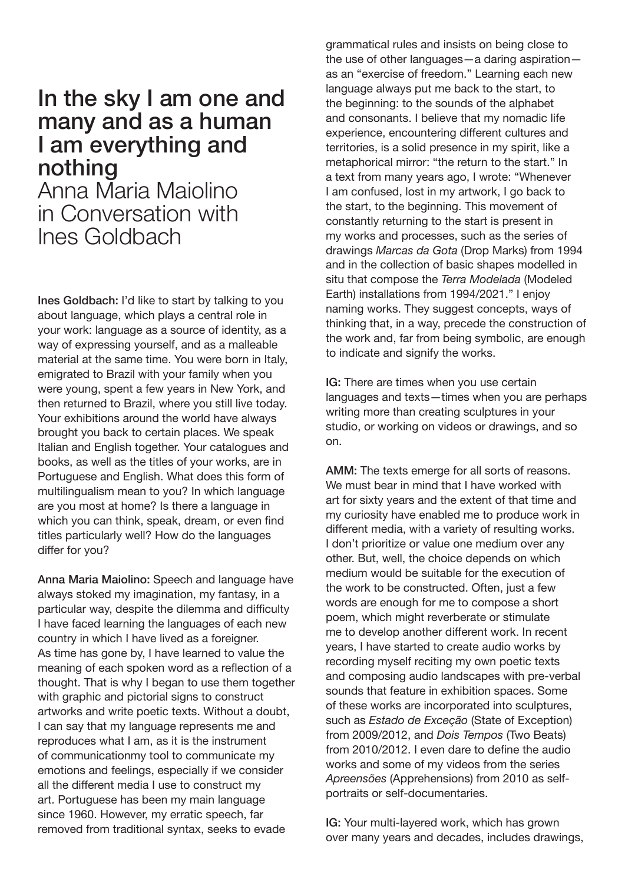## In the sky I am one and many and as a human I am everything and nothing

Anna Maria Maiolino in Conversation with Ines Goldbach

Ines Goldbach: I'd like to start by talking to you about language, which plays a central role in your work: language as a source of identity, as a way of expressing yourself, and as a malleable material at the same time. You were born in Italy, emigrated to Brazil with your family when you were young, spent a few years in New York, and then returned to Brazil, where you still live today. Your exhibitions around the world have always brought you back to certain places. We speak Italian and English together. Your catalogues and books, as well as the titles of your works, are in Portuguese and English. What does this form of multilingualism mean to you? In which language are you most at home? Is there a language in which you can think, speak, dream, or even find titles particularly well? How do the languages differ for you?

Anna Maria Maiolino: Speech and language have always stoked my imagination, my fantasy, in a particular way, despite the dilemma and difficulty I have faced learning the languages of each new country in which I have lived as a foreigner. As time has gone by, I have learned to value the meaning of each spoken word as a reflection of a thought. That is why I began to use them together with graphic and pictorial signs to construct artworks and write poetic texts. Without a doubt, I can say that my language represents me and reproduces what I am, as it is the instrument of communicationmy tool to communicate my emotions and feelings, especially if we consider all the different media I use to construct my art. Portuguese has been my main language since 1960. However, my erratic speech, far removed from traditional syntax, seeks to evade

grammatical rules and insists on being close to the use of other languages—a daring aspiration as an "exercise of freedom." Learning each new language always put me back to the start, to the beginning: to the sounds of the alphabet and consonants. I believe that my nomadic life experience, encountering different cultures and territories, is a solid presence in my spirit, like a metaphorical mirror: "the return to the start." In a text from many years ago, I wrote: "Whenever I am confused, lost in my artwork, I go back to the start, to the beginning. This movement of constantly returning to the start is present in my works and processes, such as the series of drawings *Marcas da Gota* (Drop Marks) from 1994 and in the collection of basic shapes modelled in situ that compose the *Terra Modelada* (Modeled Earth) installations from 1994/2021." I enjoy naming works. They suggest concepts, ways of thinking that, in a way, precede the construction of the work and, far from being symbolic, are enough to indicate and signify the works.

IG: There are times when you use certain languages and texts—times when you are perhaps writing more than creating sculptures in your studio, or working on videos or drawings, and so on.

AMM: The texts emerge for all sorts of reasons. We must bear in mind that I have worked with art for sixty years and the extent of that time and my curiosity have enabled me to produce work in different media, with a variety of resulting works. I don't prioritize or value one medium over any other. But, well, the choice depends on which medium would be suitable for the execution of the work to be constructed. Often, just a few words are enough for me to compose a short poem, which might reverberate or stimulate me to develop another different work. In recent years, I have started to create audio works by recording myself reciting my own poetic texts and composing audio landscapes with pre-verbal sounds that feature in exhibition spaces. Some of these works are incorporated into sculptures, such as *Estado de Exceção* (State of Exception) from 2009/2012, and *Dois Tempos* (Two Beats) from 2010/2012. I even dare to define the audio works and some of my videos from the series *Apreensões* (Apprehensions) from 2010 as selfportraits or self-documentaries.

IG: Your multi-layered work, which has grown over many years and decades, includes drawings,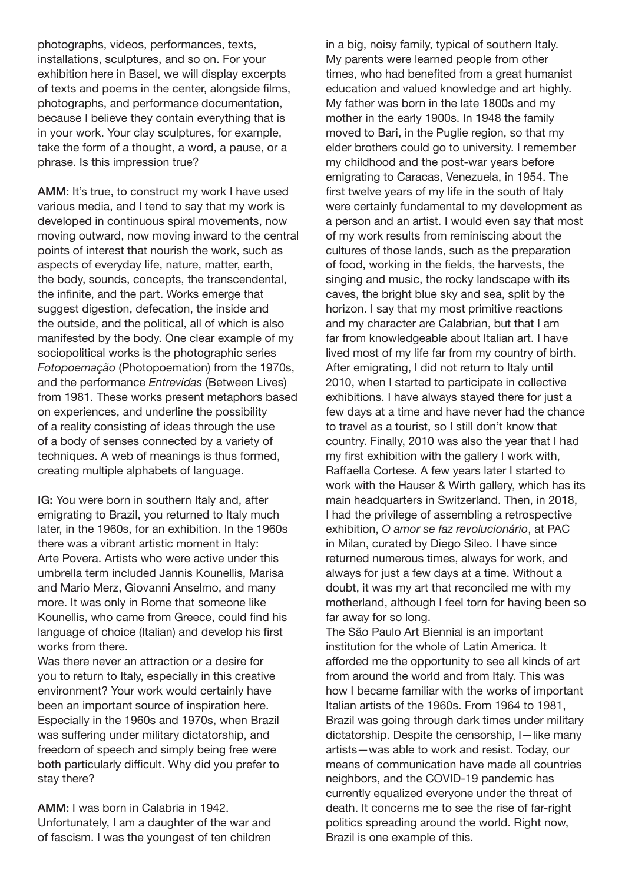photographs, videos, performances, texts, installations, sculptures, and so on. For your exhibition here in Basel, we will display excerpts of texts and poems in the center, alongside films, photographs, and performance documentation, because I believe they contain everything that is in your work. Your clay sculptures, for example, take the form of a thought, a word, a pause, or a phrase. Is this impression true?

AMM: It's true, to construct my work I have used various media, and I tend to say that my work is developed in continuous spiral movements, now moving outward, now moving inward to the central points of interest that nourish the work, such as aspects of everyday life, nature, matter, earth, the body, sounds, concepts, the transcendental, the infinite, and the part. Works emerge that suggest digestion, defecation, the inside and the outside, and the political, all of which is also manifested by the body. One clear example of my sociopolitical works is the photographic series *Fotopoemação* (Photopoemation) from the 1970s, and the performance *Entrevidas* (Between Lives) from 1981. These works present metaphors based on experiences, and underline the possibility of a reality consisting of ideas through the use of a body of senses connected by a variety of techniques. A web of meanings is thus formed, creating multiple alphabets of language.

IG: You were born in southern Italy and, after emigrating to Brazil, you returned to Italy much later, in the 1960s, for an exhibition. In the 1960s there was a vibrant artistic moment in Italy: Arte Povera. Artists who were active under this umbrella term included Jannis Kounellis, Marisa and Mario Merz, Giovanni Anselmo, and many more. It was only in Rome that someone like Kounellis, who came from Greece, could find his language of choice (Italian) and develop his first works from there.

Was there never an attraction or a desire for you to return to Italy, especially in this creative environment? Your work would certainly have been an important source of inspiration here. Especially in the 1960s and 1970s, when Brazil was suffering under military dictatorship, and freedom of speech and simply being free were both particularly difficult. Why did you prefer to stay there?

AMM: I was born in Calabria in 1942. Unfortunately, I am a daughter of the war and of fascism. I was the youngest of ten children in a big, noisy family, typical of southern Italy. My parents were learned people from other times, who had benefited from a great humanist education and valued knowledge and art highly. My father was born in the late 1800s and my mother in the early 1900s. In 1948 the family moved to Bari, in the Puglie region, so that my elder brothers could go to university. I remember my childhood and the post-war years before emigrating to Caracas, Venezuela, in 1954. The first twelve years of my life in the south of Italy were certainly fundamental to my development as a person and an artist. I would even say that most of my work results from reminiscing about the cultures of those lands, such as the preparation of food, working in the fields, the harvests, the singing and music, the rocky landscape with its caves, the bright blue sky and sea, split by the horizon. I say that my most primitive reactions and my character are Calabrian, but that I am far from knowledgeable about Italian art. I have lived most of my life far from my country of birth. After emigrating, I did not return to Italy until 2010, when I started to participate in collective exhibitions. I have always stayed there for just a few days at a time and have never had the chance to travel as a tourist, so I still don't know that country. Finally, 2010 was also the year that I had my first exhibition with the gallery I work with, Raffaella Cortese. A few years later I started to work with the Hauser & Wirth gallery, which has its main headquarters in Switzerland. Then, in 2018. I had the privilege of assembling a retrospective exhibition, *O amor se faz revolucionário*, at PAC in Milan, curated by Diego Sileo. I have since returned numerous times, always for work, and always for just a few days at a time. Without a doubt, it was my art that reconciled me with my motherland, although I feel torn for having been so far away for so long.

The São Paulo Art Biennial is an important institution for the whole of Latin America. It afforded me the opportunity to see all kinds of art from around the world and from Italy. This was how I became familiar with the works of important Italian artists of the 1960s. From 1964 to 1981, Brazil was going through dark times under military dictatorship. Despite the censorship, I—like many artists—was able to work and resist. Today, our means of communication have made all countries neighbors, and the COVID-19 pandemic has currently equalized everyone under the threat of death. It concerns me to see the rise of far-right politics spreading around the world. Right now, Brazil is one example of this.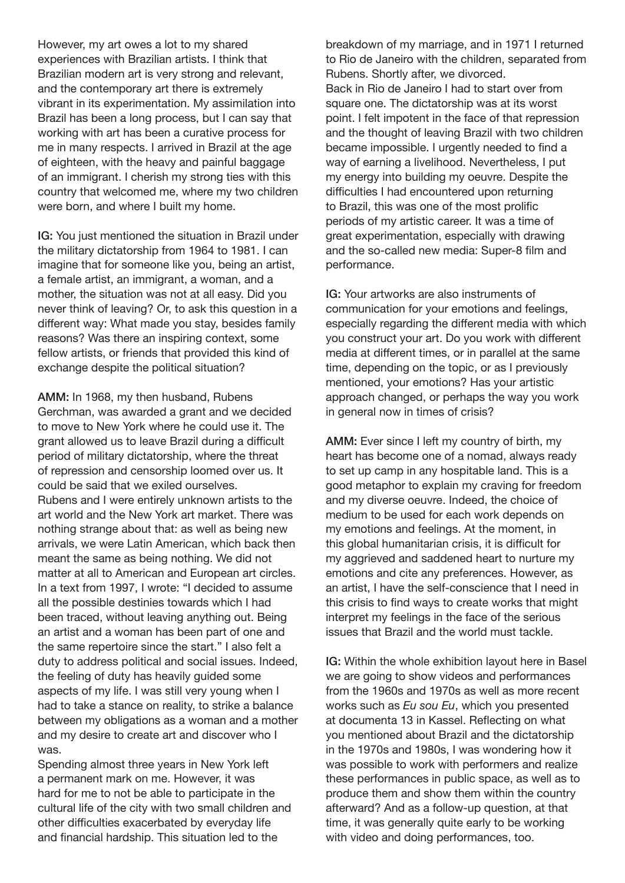However, my art owes a lot to my shared experiences with Brazilian artists. I think that Brazilian modern art is very strong and relevant, and the contemporary art there is extremely vibrant in its experimentation. My assimilation into Brazil has been a long process, but I can say that working with art has been a curative process for me in many respects. I arrived in Brazil at the age of eighteen, with the heavy and painful baggage of an immigrant. I cherish my strong ties with this country that welcomed me, where my two children were born, and where I built my home.

IG: You just mentioned the situation in Brazil under the military dictatorship from 1964 to 1981. I can imagine that for someone like you, being an artist, a female artist, an immigrant, a woman, and a mother, the situation was not at all easy. Did you never think of leaving? Or, to ask this question in a different way: What made you stay, besides family reasons? Was there an inspiring context, some fellow artists, or friends that provided this kind of exchange despite the political situation?

AMM: In 1968, my then husband, Rubens Gerchman, was awarded a grant and we decided to move to New York where he could use it. The grant allowed us to leave Brazil during a difficult period of military dictatorship, where the threat of repression and censorship loomed over us. It could be said that we exiled ourselves. Rubens and I were entirely unknown artists to the art world and the New York art market. There was nothing strange about that: as well as being new arrivals, we were Latin American, which back then meant the same as being nothing. We did not matter at all to American and European art circles. In a text from 1997, I wrote: "I decided to assume all the possible destinies towards which I had been traced, without leaving anything out. Being an artist and a woman has been part of one and the same repertoire since the start." I also felt a duty to address political and social issues. Indeed, the feeling of duty has heavily guided some aspects of my life. I was still very young when I had to take a stance on reality, to strike a balance between my obligations as a woman and a mother and my desire to create art and discover who I was.

Spending almost three years in New York left a permanent mark on me. However, it was hard for me to not be able to participate in the cultural life of the city with two small children and other difficulties exacerbated by everyday life and financial hardship. This situation led to the

breakdown of my marriage, and in 1971 I returned to Rio de Janeiro with the children, separated from Rubens. Shortly after, we divorced. Back in Rio de Janeiro I had to start over from square one. The dictatorship was at its worst point. I felt impotent in the face of that repression and the thought of leaving Brazil with two children became impossible. I urgently needed to find a way of earning a livelihood. Nevertheless, I put my energy into building my oeuvre. Despite the difficulties I had encountered upon returning to Brazil, this was one of the most prolific periods of my artistic career. It was a time of great experimentation, especially with drawing and the so-called new media: Super-8 film and performance.

IG: Your artworks are also instruments of communication for your emotions and feelings, especially regarding the different media with which you construct your art. Do you work with different media at different times, or in parallel at the same time, depending on the topic, or as I previously mentioned, your emotions? Has your artistic approach changed, or perhaps the way you work in general now in times of crisis?

AMM: Ever since I left my country of birth, my heart has become one of a nomad, always ready to set up camp in any hospitable land. This is a good metaphor to explain my craving for freedom and my diverse oeuvre. Indeed, the choice of medium to be used for each work depends on my emotions and feelings. At the moment, in this global humanitarian crisis, it is difficult for my aggrieved and saddened heart to nurture my emotions and cite any preferences. However, as an artist, I have the self-conscience that I need in this crisis to find ways to create works that might interpret my feelings in the face of the serious issues that Brazil and the world must tackle.

IG: Within the whole exhibition layout here in Basel we are going to show videos and performances from the 1960s and 1970s as well as more recent works such as *Eu sou Eu*, which you presented at documenta 13 in Kassel. Reflecting on what you mentioned about Brazil and the dictatorship in the 1970s and 1980s, I was wondering how it was possible to work with performers and realize these performances in public space, as well as to produce them and show them within the country afterward? And as a follow-up question, at that time, it was generally quite early to be working with video and doing performances, too.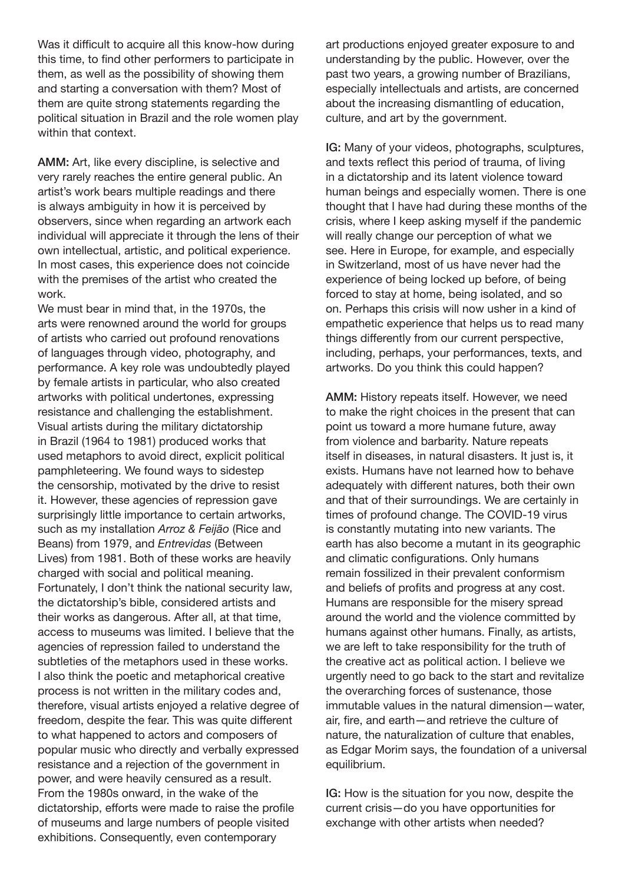Was it difficult to acquire all this know-how during this time, to find other performers to participate in them, as well as the possibility of showing them and starting a conversation with them? Most of them are quite strong statements regarding the political situation in Brazil and the role women play within that context.

AMM: Art, like every discipline, is selective and very rarely reaches the entire general public. An artist's work bears multiple readings and there is always ambiguity in how it is perceived by observers, since when regarding an artwork each individual will appreciate it through the lens of their own intellectual, artistic, and political experience. In most cases, this experience does not coincide with the premises of the artist who created the work.

We must bear in mind that, in the 1970s, the arts were renowned around the world for groups of artists who carried out profound renovations of languages through video, photography, and performance. A key role was undoubtedly played by female artists in particular, who also created artworks with political undertones, expressing resistance and challenging the establishment. Visual artists during the military dictatorship in Brazil (1964 to 1981) produced works that used metaphors to avoid direct, explicit political pamphleteering. We found ways to sidestep the censorship, motivated by the drive to resist it. However, these agencies of repression gave surprisingly little importance to certain artworks, such as my installation *Arroz & Feijão* (Rice and Beans) from 1979, and *Entrevidas* (Between Lives) from 1981. Both of these works are heavily charged with social and political meaning. Fortunately, I don't think the national security law, the dictatorship's bible, considered artists and their works as dangerous. After all, at that time, access to museums was limited. I believe that the agencies of repression failed to understand the subtleties of the metaphors used in these works. I also think the poetic and metaphorical creative process is not written in the military codes and, therefore, visual artists enjoyed a relative degree of freedom, despite the fear. This was quite different to what happened to actors and composers of popular music who directly and verbally expressed resistance and a rejection of the government in power, and were heavily censured as a result. From the 1980s onward, in the wake of the dictatorship, efforts were made to raise the profile of museums and large numbers of people visited exhibitions. Consequently, even contemporary

art productions enjoyed greater exposure to and understanding by the public. However, over the past two years, a growing number of Brazilians, especially intellectuals and artists, are concerned about the increasing dismantling of education, culture, and art by the government.

IG: Many of your videos, photographs, sculptures, and texts reflect this period of trauma, of living in a dictatorship and its latent violence toward human beings and especially women. There is one thought that I have had during these months of the crisis, where I keep asking myself if the pandemic will really change our perception of what we see. Here in Europe, for example, and especially in Switzerland, most of us have never had the experience of being locked up before, of being forced to stay at home, being isolated, and so on. Perhaps this crisis will now usher in a kind of empathetic experience that helps us to read many things differently from our current perspective, including, perhaps, your performances, texts, and artworks. Do you think this could happen?

AMM: History repeats itself. However, we need to make the right choices in the present that can point us toward a more humane future, away from violence and barbarity. Nature repeats itself in diseases, in natural disasters. It just is, it exists. Humans have not learned how to behave adequately with different natures, both their own and that of their surroundings. We are certainly in times of profound change. The COVID-19 virus is constantly mutating into new variants. The earth has also become a mutant in its geographic and climatic configurations. Only humans remain fossilized in their prevalent conformism and beliefs of profits and progress at any cost. Humans are responsible for the misery spread around the world and the violence committed by humans against other humans. Finally, as artists, we are left to take responsibility for the truth of the creative act as political action. I believe we urgently need to go back to the start and revitalize the overarching forces of sustenance, those immutable values in the natural dimension—water, air, fire, and earth—and retrieve the culture of nature, the naturalization of culture that enables, as Edgar Morim says, the foundation of a universal equilibrium.

IG: How is the situation for you now, despite the current crisis—do you have opportunities for exchange with other artists when needed?